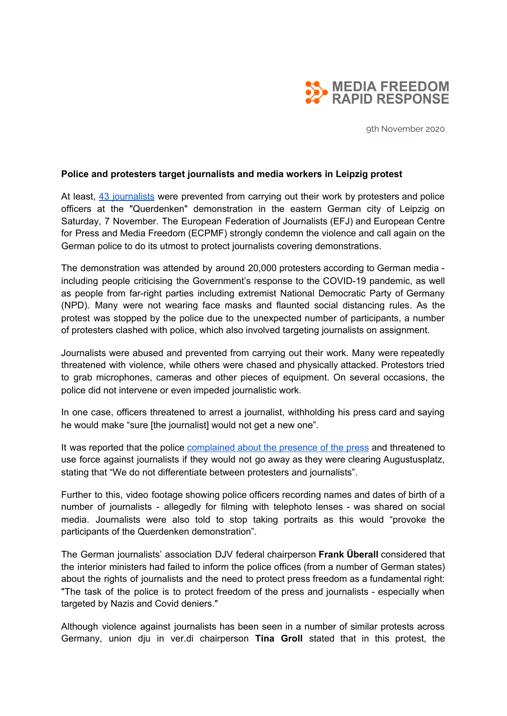

9th November 2020

## **Police and protesters target journalists and media workers in Leipzig protest**

At least, 43 [journalists](https://mmm.verdi.de/beruf/corona-proteste-erschreckende-bilanz-69477) were prevented from carrying out their work by protesters and police officers at the "Querdenken" demonstration in the eastern German city of Leipzig on Saturday, 7 November. The European Federation of Journalists (EFJ) and European Centre for Press and Media Freedom (ECPMF) strongly condemn the violence and call again on the German police to do its utmost to protect journalists covering demonstrations.

The demonstration was attended by around 20,000 protesters according to German media including people criticising the Government's response to the COVID-19 pandemic, as well as people from far-right parties including extremist National Democratic Party of Germany (NPD). Many were not wearing face masks and flaunted social distancing rules. As the protest was stopped by the police due to the unexpected number of participants, a number of protesters clashed with police, which also involved targeting journalists on assignment.

Journalists were abused and prevented from carrying out their work. Many were repeatedly threatened with violence, while others were chased and physically attacked. Protestors tried to grab microphones, cameras and other pieces of equipment. On several occasions, the police did not intervene or even impeded journalistic work.

In one case, officers threatened to arrest a journalist, withholding his press card and saying he would make "sure [the journalist] would not get a new one".

It was reported that the police [complained](https://twitter.com/ver_jorg/status/1325399921315500033) about the presence of the press and threatened to use force against journalists if they would not go away as they were clearing Augustusplatz, stating that "We do not differentiate between protesters and journalists".

Further to this, video footage showing police officers recording names and dates of birth of a number of journalists - allegedly for filming with telephoto lenses - was shared on social media. Journalists were also told to stop taking portraits as this would "provoke the participants of the Querdenken demonstration".

The German journalists' association DJV federal chairperson **Frank Überall** considered that the interior ministers had failed to inform the police offices (from a number of German states) about the rights of journalists and the need to protect press freedom as a fundamental right: "The task of the police is to protect freedom of the press and journalists - especially when targeted by Nazis and Covid deniers."

Although violence against journalists has been seen in a number of similar protests across Germany, union dju in ver.di chairperson **Tina Groll** stated that in this protest, the